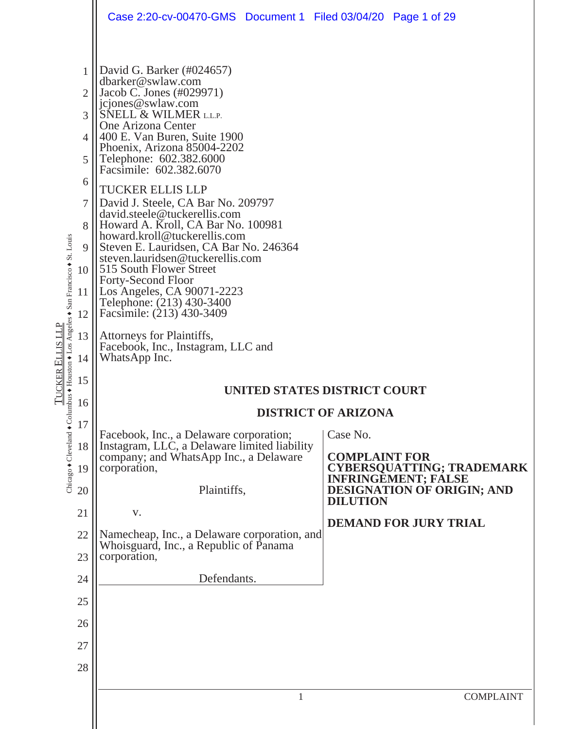|                                                                                                            |                                                                                                                                                                     | Case 2:20-cv-00470-GMS  Document 1  Filed 03/04/20  Page 1 of 29                                                                                                                                                                                                                                                                                                                                                                                                                                                                                                                                                                                                                                                                                                                                                                                                                                                                                                                                                                                         |                                                                                                                                                                                                                                                          |
|------------------------------------------------------------------------------------------------------------|---------------------------------------------------------------------------------------------------------------------------------------------------------------------|----------------------------------------------------------------------------------------------------------------------------------------------------------------------------------------------------------------------------------------------------------------------------------------------------------------------------------------------------------------------------------------------------------------------------------------------------------------------------------------------------------------------------------------------------------------------------------------------------------------------------------------------------------------------------------------------------------------------------------------------------------------------------------------------------------------------------------------------------------------------------------------------------------------------------------------------------------------------------------------------------------------------------------------------------------|----------------------------------------------------------------------------------------------------------------------------------------------------------------------------------------------------------------------------------------------------------|
| umbus ◆ Houston ◆ Los Angeles ◆ San Francisco ◆ St. Louis<br>TUCKER ELLIS LLP<br>Chicago + Cleveland + Col | $\overline{2}$<br>3<br>4<br>5<br>6<br>7<br>8<br>9<br>10<br>11<br>12<br>13<br>14<br>15<br>16<br>17<br>18<br>19<br>20<br>21<br>22<br>23<br>24<br>25<br>26<br>27<br>28 | David G. Barker (#024657)<br>dbarker@swlaw.com<br>Jacob C. Jones (#029971)<br>jcjones@swlaw.com<br>SNELL & WILMER L.L.P.<br>One Arizona Center<br>400 E. Van Buren, Suite 1900<br>Phoenix, Arizona 85004-2202<br>Telephone: 602.382.6000<br>Facsimile: 602.382.6070<br><b>TUCKER ELLIS LLP</b><br>David J. Steele, CA Bar No. 209797<br>david.steele@tuckerellis.com<br>Howard A. Kroll, CA Bar No. 100981<br>howard.kroll@tuckerellis.com<br>Steven E. Lauridsen, CA Bar No. 246364<br>steven.lauridsen@tuckerellis.com<br>515 South Flower Street<br>Forty-Second Floor<br>Los Angeles, CA 90071-2223<br>Telephone: (213) 430-3400<br>Facsimile: (213) 430-3409<br>Attorneys for Plaintiffs,<br>Facebook, Inc., Instagram, LLC and<br>WhatsApp Inc.<br>Facebook, Inc., a Delaware corporation;<br>Instagram, LLC, a Delaware limited liability<br>company; and WhatsApp Inc., a Delaware<br>corporation,<br>Plaintiffs,<br>V.<br>Namecheap, Inc., a Delaware corporation, and<br>Whoisguard, Inc., a Republic of Panama<br>corporation,<br>Defendants. | UNITED STATES DISTRICT COURT<br><b>DISTRICT OF ARIZONA</b><br>Case No.<br><b>COMPLAINT FOR</b><br><b>CYBERSQUATTING; TRADEMARK</b><br><b>INFRINGEMENT; FÁLSE</b><br><b>DESIGNATION OF ORIGIN; AND</b><br><b>DILUTION</b><br><b>DEMAND FOR JURY TRIAL</b> |
|                                                                                                            |                                                                                                                                                                     | 1                                                                                                                                                                                                                                                                                                                                                                                                                                                                                                                                                                                                                                                                                                                                                                                                                                                                                                                                                                                                                                                        | <b>COMPLAINT</b>                                                                                                                                                                                                                                         |
|                                                                                                            |                                                                                                                                                                     |                                                                                                                                                                                                                                                                                                                                                                                                                                                                                                                                                                                                                                                                                                                                                                                                                                                                                                                                                                                                                                                          |                                                                                                                                                                                                                                                          |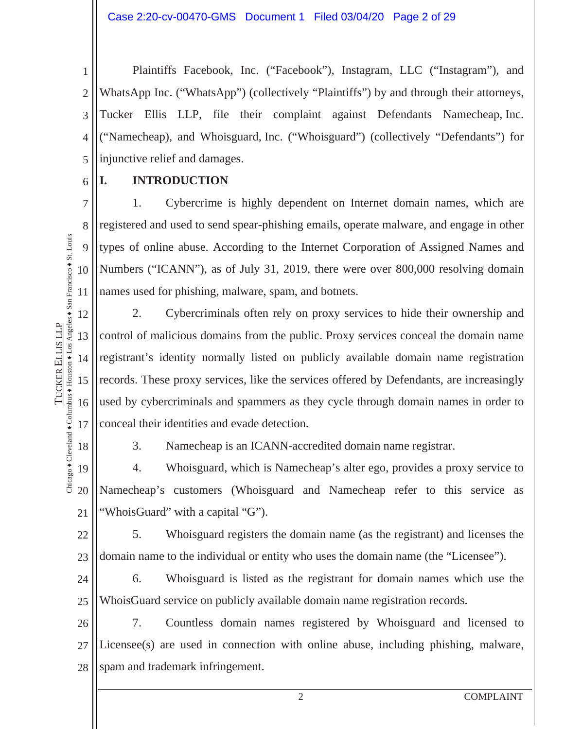1 2 3 4 5 Plaintiffs Facebook, Inc. ("Facebook"), Instagram, LLC ("Instagram"), and WhatsApp Inc. ("WhatsApp") (collectively "Plaintiffs") by and through their attorneys, Tucker Ellis LLP, file their complaint against Defendants Namecheap, Inc. ("Namecheap), and Whoisguard, Inc. ("Whoisguard") (collectively "Defendants") for injunctive relief and damages.

### **I. INTRODUCTION**

1. Cybercrime is highly dependent on Internet domain names, which are registered and used to send spear-phishing emails, operate malware, and engage in other types of online abuse. According to the Internet Corporation of Assigned Names and Numbers ("ICANN"), as of July 31, 2019, there were over 800,000 resolving domain names used for phishing, malware, spam, and botnets.

12 13 14 15 16 17 2. Cybercriminals often rely on proxy services to hide their ownership and control of malicious domains from the public. Proxy services conceal the domain name registrant's identity normally listed on publicly available domain name registration records. These proxy services, like the services offered by Defendants, are increasingly used by cybercriminals and spammers as they cycle through domain names in order to conceal their identities and evade detection.

Chicago  $\bullet$  Cleveland  $\bullet$  Columbus  $\bullet$  Houston  $\bullet$  Los Angeles  $\bullet$  San Francisco  $\bullet$  St. Louis Chicago + Cleveland + Columbus + Houston + Los Angeles + San Francisco + St. Louis 18

TUCKER

ELLIS LLP

**TUCKER ELLIS LLP** 

6

7

8

9

10

11

3. Namecheap is an ICANN-accredited domain name registrar.

19 20 21 4. Whoisguard, which is Namecheap's alter ego, provides a proxy service to Namecheap's customers (Whoisguard and Namecheap refer to this service as "WhoisGuard" with a capital "G").

22 23 5. Whoisguard registers the domain name (as the registrant) and licenses the domain name to the individual or entity who uses the domain name (the "Licensee").

24 25 6. Whoisguard is listed as the registrant for domain names which use the WhoisGuard service on publicly available domain name registration records.

26 27 28 7. Countless domain names registered by Whoisguard and licensed to Licensee(s) are used in connection with online abuse, including phishing, malware, spam and trademark infringement.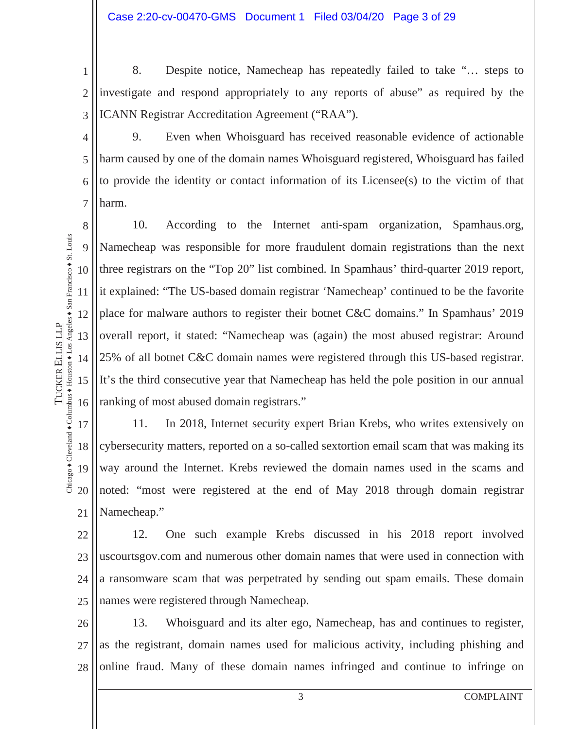1 2 3 8. Despite notice, Namecheap has repeatedly failed to take "… steps to investigate and respond appropriately to any reports of abuse" as required by the ICANN Registrar Accreditation Agreement ("RAA").

4 5 6 7 9. Even when Whoisguard has received reasonable evidence of actionable harm caused by one of the domain names Whoisguard registered, Whoisguard has failed to provide the identity or contact information of its Licensee(s) to the victim of that harm.

8 9 10 11 12 13 14 15 16 10. According to the Internet anti-spam organization, Spamhaus.org, Namecheap was responsible for more fraudulent domain registrations than the next three registrars on the "Top 20" list combined. In Spamhaus' third-quarter 2019 report, it explained: "The US-based domain registrar 'Namecheap' continued to be the favorite place for malware authors to register their botnet C&C domains." In Spamhaus' 2019 overall report, it stated: "Namecheap was (again) the most abused registrar: Around 25% of all botnet C&C domain names were registered through this US-based registrar. It's the third consecutive year that Namecheap has held the pole position in our annual ranking of most abused domain registrars."

17 18 19 20 21 11. In 2018, Internet security expert Brian Krebs, who writes extensively on cybersecurity matters, reported on a so-called sextortion email scam that was making its way around the Internet. Krebs reviewed the domain names used in the scams and noted: "most were registered at the end of May 2018 through domain registrar Namecheap."

22 23 24 25 12. One such example Krebs discussed in his 2018 report involved uscourtsgov.com and numerous other domain names that were used in connection with a ransomware scam that was perpetrated by sending out spam emails. These domain names were registered through Namecheap.

26 27 28 13. Whoisguard and its alter ego, Namecheap, has and continues to register, as the registrant, domain names used for malicious activity, including phishing and online fraud. Many of these domain names infringed and continue to infringe on

3 COMPLAINT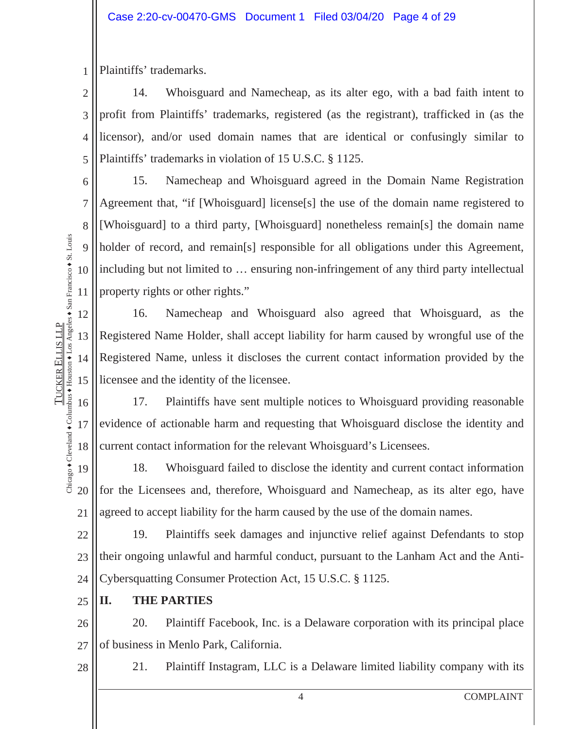1 Plaintiffs' trademarks.

2 3 4 5 14. Whoisguard and Namecheap, as its alter ego, with a bad faith intent to profit from Plaintiffs' trademarks, registered (as the registrant), trafficked in (as the licensor), and/or used domain names that are identical or confusingly similar to Plaintiffs' trademarks in violation of 15 U.S.C. § 1125.

6 7 8 9 10 15. Namecheap and Whoisguard agreed in the Domain Name Registration Agreement that, "if [Whoisguard] license[s] the use of the domain name registered to [Whoisguard] to a third party, [Whoisguard] nonetheless remain[s] the domain name holder of record, and remain[s] responsible for all obligations under this Agreement, including but not limited to … ensuring non-infringement of any third party intellectual property rights or other rights."

16. Namecheap and Whoisguard also agreed that Whoisguard, as the Registered Name Holder, shall accept liability for harm caused by wrongful use of the Registered Name, unless it discloses the current contact information provided by the licensee and the identity of the licensee.

17. Plaintiffs have sent multiple notices to Whoisguard providing reasonable evidence of actionable harm and requesting that Whoisguard disclose the identity and current contact information for the relevant Whoisguard's Licensees.

19 20 21 18. Whoisguard failed to disclose the identity and current contact information for the Licensees and, therefore, Whoisguard and Namecheap, as its alter ego, have agreed to accept liability for the harm caused by the use of the domain names.

22 23 24 19. Plaintiffs seek damages and injunctive relief against Defendants to stop their ongoing unlawful and harmful conduct, pursuant to the Lanham Act and the Anti-Cybersquatting Consumer Protection Act, 15 U.S.C. § 1125.

25 **II. THE PARTIES** 

26 27 20. Plaintiff Facebook, Inc. is a Delaware corporation with its principal place of business in Menlo Park, California.

28

11

12

13

14

Chicago  $\bullet$  Cleveland  $\bullet$  Columbus  $\bullet$  Houston  $\bullet$  Los Angeles  $\bullet$  San Francisco  $\bullet$  St. Louis

Chicago + Cleveland + Columbus + Houston + Los Angeles + San Francisco + St. Louis **TUCKER ELLIS LLP** 

15

TUCKER

ELLIS LLP

16

17

18

21. Plaintiff Instagram, LLC is a Delaware limited liability company with its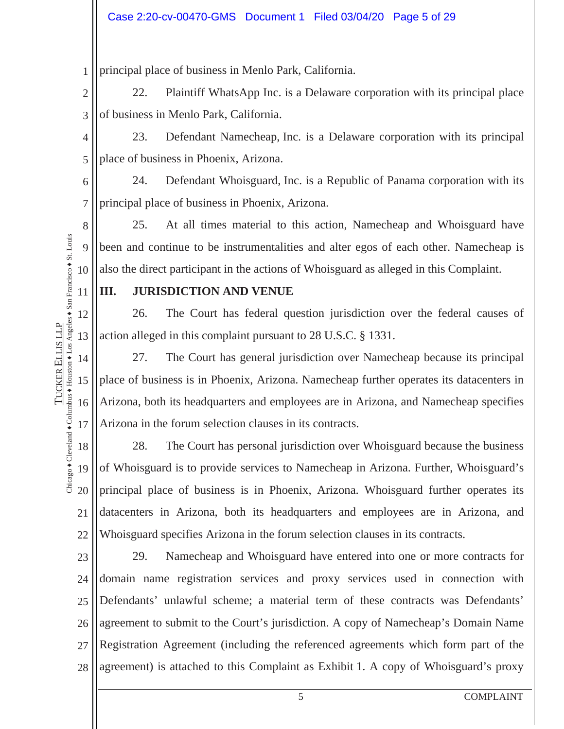1 principal place of business in Menlo Park, California.

2 3 22. Plaintiff WhatsApp Inc. is a Delaware corporation with its principal place of business in Menlo Park, California.

4 5 23. Defendant Namecheap, Inc. is a Delaware corporation with its principal place of business in Phoenix, Arizona.

6 7 24. Defendant Whoisguard, Inc. is a Republic of Panama corporation with its principal place of business in Phoenix, Arizona.

8 9 10 25. At all times material to this action, Namecheap and Whoisguard have been and continue to be instrumentalities and alter egos of each other. Namecheap is also the direct participant in the actions of Whoisguard as alleged in this Complaint.

### **III. JURISDICTION AND VENUE**

12 26. The Court has federal question jurisdiction over the federal causes of action alleged in this complaint pursuant to 28 U.S.C. § 1331.

14 15 16 17 27. The Court has general jurisdiction over Namecheap because its principal place of business is in Phoenix, Arizona. Namecheap further operates its datacenters in Arizona, both its headquarters and employees are in Arizona, and Namecheap specifies Arizona in the forum selection clauses in its contracts.

18 19 20 21 22 28. The Court has personal jurisdiction over Whoisguard because the business of Whoisguard is to provide services to Namecheap in Arizona. Further, Whoisguard's principal place of business is in Phoenix, Arizona. Whoisguard further operates its datacenters in Arizona, both its headquarters and employees are in Arizona, and Whoisguard specifies Arizona in the forum selection clauses in its contracts.

23 24 25 26 27 28 29. Namecheap and Whoisguard have entered into one or more contracts for domain name registration services and proxy services used in connection with Defendants' unlawful scheme; a material term of these contracts was Defendants' agreement to submit to the Court's jurisdiction. A copy of Namecheap's Domain Name Registration Agreement (including the referenced agreements which form part of the agreement) is attached to this Complaint as Exhibit 1. A copy of Whoisguard's proxy

11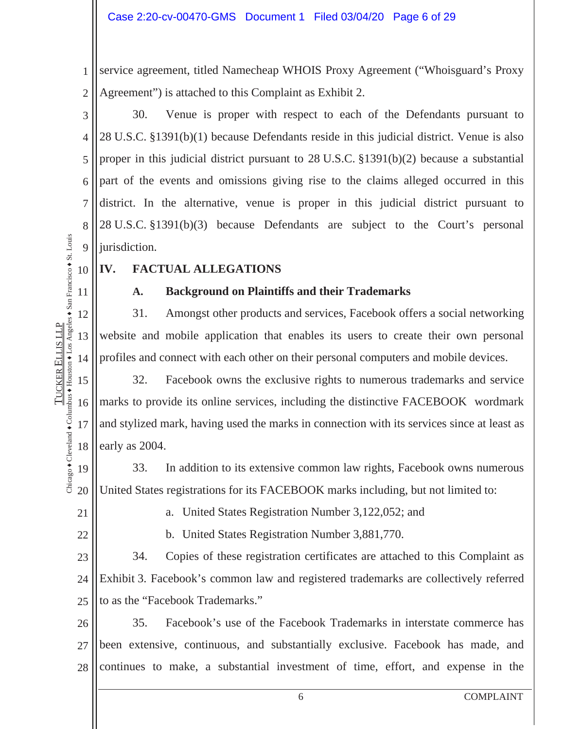1 2 service agreement, titled Namecheap WHOIS Proxy Agreement ("Whoisguard's Proxy Agreement") is attached to this Complaint as Exhibit 2.

3 4 5 6 7 8 9 30. Venue is proper with respect to each of the Defendants pursuant to 28 U.S.C. §1391(b)(1) because Defendants reside in this judicial district. Venue is also proper in this judicial district pursuant to 28 U.S.C. §1391(b)(2) because a substantial part of the events and omissions giving rise to the claims alleged occurred in this district. In the alternative, venue is proper in this judicial district pursuant to 28 U.S.C. §1391(b)(3) because Defendants are subject to the Court's personal jurisdiction.

- Diicago + Cleveland + Columbus + Houston + Los Angeles + San Francisco + St. Louis 10
- 11 Chicago  $\bullet$  Cleveland  $\bullet$  Columbus  $\bullet$  Houston  $\bullet$  Los Angeles  $\bullet$  San Francisco  $\bullet$  St. Louis

12

13

14

TUCKER

ELLIS LLP

**TUCKER ELLIS LLP** 

## **IV. FACTUAL ALLEGATIONS**

#### **A. Background on Plaintiffs and their Trademarks**

31. Amongst other products and services, Facebook offers a social networking website and mobile application that enables its users to create their own personal profiles and connect with each other on their personal computers and mobile devices.

15 16 17 18 32. Facebook owns the exclusive rights to numerous trademarks and service marks to provide its online services, including the distinctive FACEBOOK wordmark and stylized mark, having used the marks in connection with its services since at least as early as 2004.

19 20 33. In addition to its extensive common law rights, Facebook owns numerous United States registrations for its FACEBOOK marks including, but not limited to:

21

22

a. United States Registration Number 3,122,052; and

b. United States Registration Number 3,881,770.

23 24 25 34. Copies of these registration certificates are attached to this Complaint as Exhibit 3. Facebook's common law and registered trademarks are collectively referred to as the "Facebook Trademarks."

26 27 28 35. Facebook's use of the Facebook Trademarks in interstate commerce has been extensive, continuous, and substantially exclusive. Facebook has made, and continues to make, a substantial investment of time, effort, and expense in the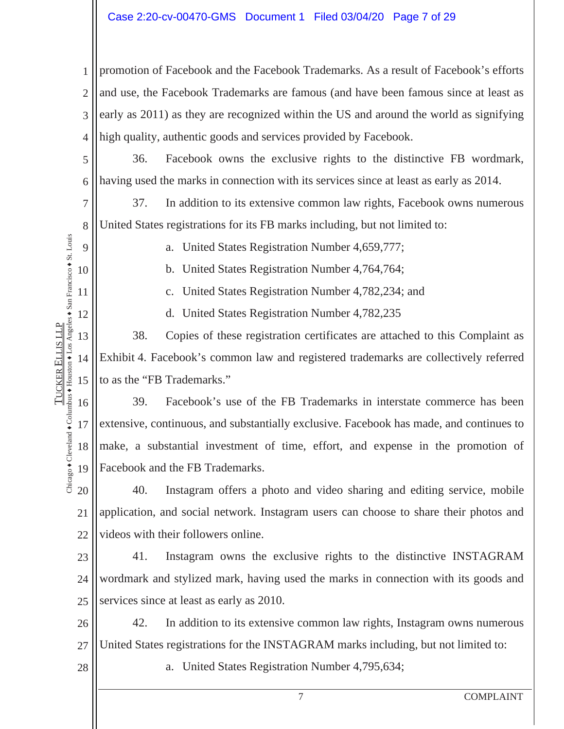#### Case 2:20-cv-00470-GMS Document 1 Filed 03/04/20 Page 7 of 29

1 2 3 4 promotion of Facebook and the Facebook Trademarks. As a result of Facebook's efforts and use, the Facebook Trademarks are famous (and have been famous since at least as early as 2011) as they are recognized within the US and around the world as signifying high quality, authentic goods and services provided by Facebook.

5 6 36. Facebook owns the exclusive rights to the distinctive FB wordmark, having used the marks in connection with its services since at least as early as 2014.

37. In addition to its extensive common law rights, Facebook owns numerous United States registrations for its FB marks including, but not limited to:

a. United States Registration Number 4,659,777;

b. United States Registration Number 4,764,764;

c. United States Registration Number 4,782,234; and

d. United States Registration Number 4,782,235

13 14 15 38. Copies of these registration certificates are attached to this Complaint as Exhibit 4. Facebook's common law and registered trademarks are collectively referred to as the "FB Trademarks."

16 17 18 19 39. Facebook's use of the FB Trademarks in interstate commerce has been extensive, continuous, and substantially exclusive. Facebook has made, and continues to make, a substantial investment of time, effort, and expense in the promotion of Facebook and the FB Trademarks.

20 21 22 40. Instagram offers a photo and video sharing and editing service, mobile application, and social network. Instagram users can choose to share their photos and videos with their followers online.

23 24 25 41. Instagram owns the exclusive rights to the distinctive INSTAGRAM wordmark and stylized mark, having used the marks in connection with its goods and services since at least as early as 2010.

26 27 42. In addition to its extensive common law rights, Instagram owns numerous United States registrations for the INSTAGRAM marks including, but not limited to:

28

7

8

9

10

11

12

TUCKER

ELLIS LLP

Chicago  $\bullet$  Cleveland  $\bullet$  Columbus  $\bullet$  Houston  $\bullet$  Los Angeles  $\bullet$  San Francisco  $\bullet$  St. Louis

Chicago + Cleveland + Columbus + Houston + Los Angeles + San Francisco + St. Louis **TUCKER ELLIS LLP** 

a. United States Registration Number 4,795,634;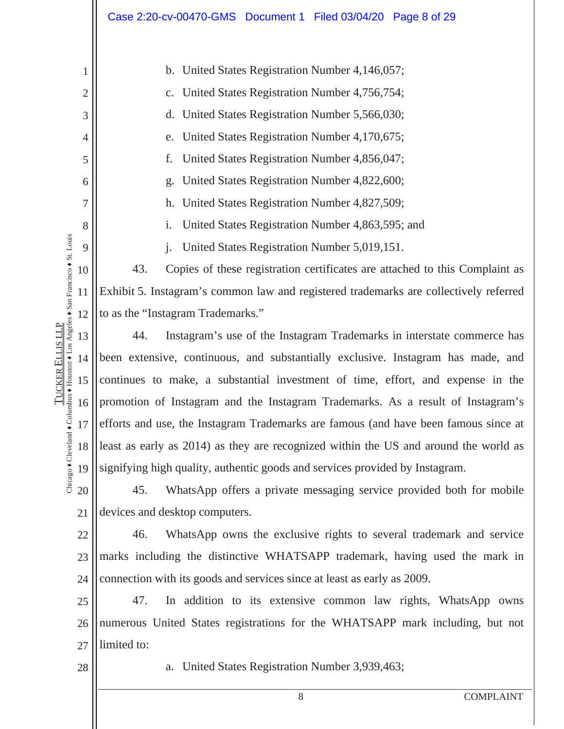|                                                          |                | Case 2:20-cv-00470-GMS Document 1 Filed 03/04/20 Page 8 of 29                         |  |  |  |  |
|----------------------------------------------------------|----------------|---------------------------------------------------------------------------------------|--|--|--|--|
|                                                          |                |                                                                                       |  |  |  |  |
|                                                          | 1              | b. United States Registration Number 4,146,057;                                       |  |  |  |  |
|                                                          | $\overline{c}$ | c. United States Registration Number 4,756,754;                                       |  |  |  |  |
|                                                          | 3              | d. United States Registration Number 5,566,030;                                       |  |  |  |  |
|                                                          | 4              | United States Registration Number 4,170,675;<br>e.                                    |  |  |  |  |
|                                                          | 5              | United States Registration Number 4,856,047;<br>f.                                    |  |  |  |  |
|                                                          | 6              | g. United States Registration Number 4,822,600;                                       |  |  |  |  |
|                                                          | $\overline{7}$ | h. United States Registration Number 4,827,509;                                       |  |  |  |  |
|                                                          | 8              | United States Registration Number 4,863,595; and<br>i.                                |  |  |  |  |
| mbus + Houston + Los Angeles + San Francisco + St. Louis | 9              | United States Registration Number 5,019,151.                                          |  |  |  |  |
|                                                          | 10             | 43.<br>Copies of these registration certificates are attached to this Complaint as    |  |  |  |  |
|                                                          | 11             | Exhibit 5. Instagram's common law and registered trademarks are collectively referred |  |  |  |  |
|                                                          | 12             | to as the "Instagram Trademarks."                                                     |  |  |  |  |
|                                                          | 13             | 44.<br>Instagram's use of the Instagram Trademarks in interstate commerce has         |  |  |  |  |
|                                                          | 14             | been extensive, continuous, and substantially exclusive. Instagram has made, and      |  |  |  |  |
| TUCKER ELLIS LLP                                         | 15             | continues to make, a substantial investment of time, effort, and expense in the       |  |  |  |  |
|                                                          | 16             | promotion of Instagram and the Instagram Trademarks. As a result of Instagram's       |  |  |  |  |
|                                                          | 17             | efforts and use, the Instagram Trademarks are famous (and have been famous since at   |  |  |  |  |
| Chicago + Cleveland + Col                                | 18             | least as early as 2014) as they are recognized within the US and around the world as  |  |  |  |  |
|                                                          | 19             | signifying high quality, authentic goods and services provided by Instagram.          |  |  |  |  |
|                                                          | 20             | WhatsApp offers a private messaging service provided both for mobile<br>45.           |  |  |  |  |
|                                                          | 21             | devices and desktop computers.                                                        |  |  |  |  |
|                                                          | 22             | WhatsApp owns the exclusive rights to several trademark and service<br>46.            |  |  |  |  |
|                                                          | 23             | marks including the distinctive WHATSAPP trademark, having used the mark in           |  |  |  |  |
|                                                          | 24             | connection with its goods and services since at least as early as 2009.               |  |  |  |  |
|                                                          | 25             | 47.<br>In addition to its extensive common law rights, WhatsApp owns                  |  |  |  |  |
|                                                          | 26             | numerous United States registrations for the WHATSAPP mark including, but not         |  |  |  |  |
|                                                          | 27             | limited to:                                                                           |  |  |  |  |
|                                                          | 28             | United States Registration Number 3,939,463;<br>a.                                    |  |  |  |  |

8 COMPLAINT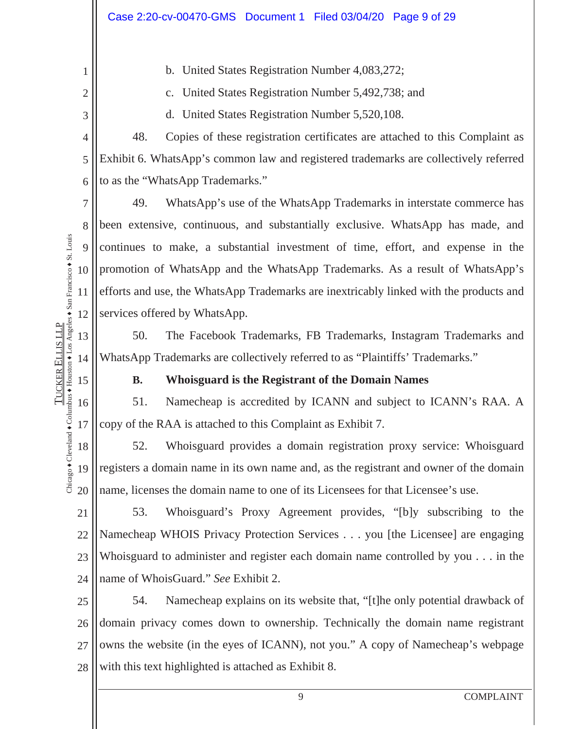b. United States Registration Number 4,083,272;

c. United States Registration Number 5,492,738; and

d. United States Registration Number 5,520,108.

4 5 6 48. Copies of these registration certificates are attached to this Complaint as Exhibit 6. WhatsApp's common law and registered trademarks are collectively referred to as the "WhatsApp Trademarks."

7 8 9 10 11 12 49. WhatsApp's use of the WhatsApp Trademarks in interstate commerce has been extensive, continuous, and substantially exclusive. WhatsApp has made, and continues to make, a substantial investment of time, effort, and expense in the promotion of WhatsApp and the WhatsApp Trademarks. As a result of WhatsApp's efforts and use, the WhatsApp Trademarks are inextricably linked with the products and services offered by WhatsApp.

50. The Facebook Trademarks, FB Trademarks, Instagram Trademarks and WhatsApp Trademarks are collectively referred to as "Plaintiffs' Trademarks."

14 15

TUCKER

ELLIS LLP

Chicago  $\bullet$  Cleveland  $\bullet$  Columbus  $\bullet$  Houston  $\bullet$  Los Angeles  $\bullet$  San Francisco  $\bullet$  St. Louis

Chicago + Cleveland + Columbus + Houston + Los Angeles + San Francisco + St. Louis **TUCKER ELLIS LLP** 

13

1

2

3

#### **B. Whoisguard is the Registrant of the Domain Names**

16 17 51. Namecheap is accredited by ICANN and subject to ICANN's RAA. A copy of the RAA is attached to this Complaint as Exhibit 7.

18 19 20 52. Whoisguard provides a domain registration proxy service: Whoisguard registers a domain name in its own name and, as the registrant and owner of the domain name, licenses the domain name to one of its Licensees for that Licensee's use.

21 22 23 24 53. Whoisguard's Proxy Agreement provides, "[b]y subscribing to the Namecheap WHOIS Privacy Protection Services . . . you [the Licensee] are engaging Whoisguard to administer and register each domain name controlled by you . . . in the name of WhoisGuard." *See* Exhibit 2.

25 26 27 28 54. Namecheap explains on its website that, "[t]he only potential drawback of domain privacy comes down to ownership. Technically the domain name registrant owns the website (in the eyes of ICANN), not you." A copy of Namecheap's webpage with this text highlighted is attached as Exhibit 8.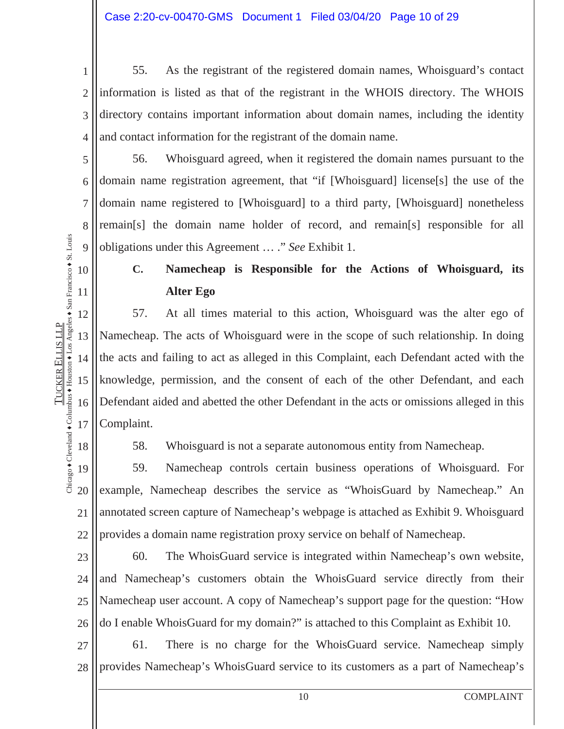1 2 3 4 55. As the registrant of the registered domain names, Whoisguard's contact information is listed as that of the registrant in the WHOIS directory. The WHOIS directory contains important information about domain names, including the identity and contact information for the registrant of the domain name.

56. Whoisguard agreed, when it registered the domain names pursuant to the domain name registration agreement, that "if [Whoisguard] license[s] the use of the domain name registered to [Whoisguard] to a third party, [Whoisguard] nonetheless remain[s] the domain name holder of record, and remain[s] responsible for all obligations under this Agreement … ." *See* Exhibit 1.

### **C. Namecheap is Responsible for the Actions of Whoisguard, its Alter Ego**

57. At all times material to this action, Whoisguard was the alter ego of Namecheap. The acts of Whoisguard were in the scope of such relationship. In doing the acts and failing to act as alleged in this Complaint, each Defendant acted with the knowledge, permission, and the consent of each of the other Defendant, and each Defendant aided and abetted the other Defendant in the acts or omissions alleged in this Complaint.

Chicago  $\bullet$  Cleveland  $\bullet$  Columbus  $\bullet$  Houston  $\bullet$  Los Angeles  $\bullet$  San Francisco  $\bullet$  St. Louis Chicago + Cleveland + Columbus + Houston + Los Angeles + San Francisco + St. Louis 18

5

6

7

8

9

10

11

12

13

14

15

TUCKER

ELLIS LLP

**TUCKER ELLIS LLP** 

16

17

58. Whoisguard is not a separate autonomous entity from Namecheap.

19 20 21 22 59. Namecheap controls certain business operations of Whoisguard. For example, Namecheap describes the service as "WhoisGuard by Namecheap." An annotated screen capture of Namecheap's webpage is attached as Exhibit 9. Whoisguard provides a domain name registration proxy service on behalf of Namecheap.

23 24 25 26 60. The WhoisGuard service is integrated within Namecheap's own website, and Namecheap's customers obtain the WhoisGuard service directly from their Namecheap user account. A copy of Namecheap's support page for the question: "How do I enable WhoisGuard for my domain?" is attached to this Complaint as Exhibit 10.

27 28 61. There is no charge for the WhoisGuard service. Namecheap simply provides Namecheap's WhoisGuard service to its customers as a part of Namecheap's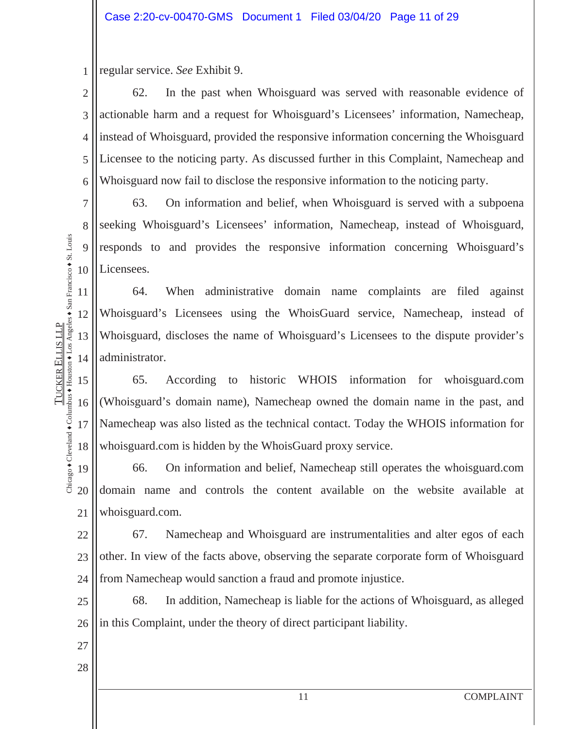1 regular service. *See* Exhibit 9.

2 3 4 5 6 62. In the past when Whoisguard was served with reasonable evidence of actionable harm and a request for Whoisguard's Licensees' information, Namecheap, instead of Whoisguard, provided the responsive information concerning the Whoisguard Licensee to the noticing party. As discussed further in this Complaint, Namecheap and Whoisguard now fail to disclose the responsive information to the noticing party.

63. On information and belief, when Whoisguard is served with a subpoena seeking Whoisguard's Licensees' information, Namecheap, instead of Whoisguard, responds to and provides the responsive information concerning Whoisguard's Licensees.

64. When administrative domain name complaints are filed against Whoisguard's Licensees using the WhoisGuard service, Namecheap, instead of Whoisguard, discloses the name of Whoisguard's Licensees to the dispute provider's administrator.

15 16 17 18 65. According to historic WHOIS information for whoisguard.com (Whoisguard's domain name), Namecheap owned the domain name in the past, and Namecheap was also listed as the technical contact. Today the WHOIS information for whoisguard.com is hidden by the WhoisGuard proxy service.

19 20 21 66. On information and belief, Namecheap still operates the whoisguard.com domain name and controls the content available on the website available at whoisguard.com.

22 23 24 67. Namecheap and Whoisguard are instrumentalities and alter egos of each other. In view of the facts above, observing the separate corporate form of Whoisguard from Namecheap would sanction a fraud and promote injustice.

25 26 68. In addition, Namecheap is liable for the actions of Whoisguard, as alleged in this Complaint, under the theory of direct participant liability.

27

7

8

9

10

11

12

13

14

Chicago  $\bullet$  Cleveland  $\bullet$  Columbus  $\bullet$  Houston  $\bullet$  Los Angeles  $\bullet$  San Francisco  $\bullet$  St. Louis

Chicago + Cleveland + Columbus + Houston + Los Angeles + San Francisco + St. Louis **TUCKER ELLIS LLP** 

TUCKER

ELLIS LLP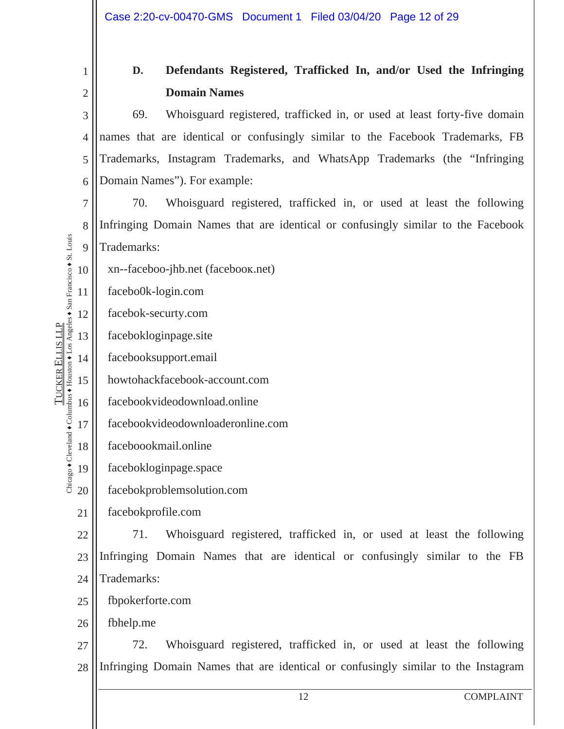|                                                                                                                                    | 1              | Defendants Registered, Trafficked In, and/or Used the Infringing<br>D.            |  |  |  |  |
|------------------------------------------------------------------------------------------------------------------------------------|----------------|-----------------------------------------------------------------------------------|--|--|--|--|
|                                                                                                                                    | $\mathfrak{2}$ | <b>Domain Names</b>                                                               |  |  |  |  |
|                                                                                                                                    | 3              | 69.<br>Whoisguard registered, trafficked in, or used at least forty-five domain   |  |  |  |  |
|                                                                                                                                    | $\overline{4}$ | names that are identical or confusingly similar to the Facebook Trademarks, FB    |  |  |  |  |
|                                                                                                                                    | 5              | Trademarks, Instagram Trademarks, and WhatsApp Trademarks (the "Infringing        |  |  |  |  |
|                                                                                                                                    | 6              | Domain Names"). For example:                                                      |  |  |  |  |
|                                                                                                                                    | 7              | 70.<br>Whoisguard registered, trafficked in, or used at least the following       |  |  |  |  |
|                                                                                                                                    | 8              | Infringing Domain Names that are identical or confusingly similar to the Facebook |  |  |  |  |
| Cleveland $\bullet$ Columbus $\bullet$ Houston $\bullet$ Los Angeles $\bullet$ San Francisco $\bullet$ St. Louis<br>10<br>11<br>12 | 9              | Trademarks:                                                                       |  |  |  |  |
|                                                                                                                                    |                | xn-faceboo-jhb.net (facebook.net)                                                 |  |  |  |  |
|                                                                                                                                    |                | facebo0k-login.com                                                                |  |  |  |  |
|                                                                                                                                    |                | facebok-securty.com                                                               |  |  |  |  |
| 13                                                                                                                                 |                | facebokloginpage.site                                                             |  |  |  |  |
|                                                                                                                                    | 14             | facebooksupport.email                                                             |  |  |  |  |
|                                                                                                                                    | 15             | howtohackfacebook-account.com                                                     |  |  |  |  |
|                                                                                                                                    | 16             | facebookvideodownload.online                                                      |  |  |  |  |
| 17                                                                                                                                 |                | facebookvideodownloaderonline.com                                                 |  |  |  |  |
| 18<br>19<br>Chicago                                                                                                                |                | faceboookmail.online                                                              |  |  |  |  |
|                                                                                                                                    |                | facebokloginpage.space                                                            |  |  |  |  |
| 20                                                                                                                                 |                | facebokproblemsolution.com                                                        |  |  |  |  |
| 21                                                                                                                                 |                | facebokprofile.com                                                                |  |  |  |  |
| 22                                                                                                                                 |                | Whoisguard registered, trafficked in, or used at least the following<br>71.       |  |  |  |  |
| 23                                                                                                                                 |                | Infringing Domain Names that are identical or confusingly similar to the FB       |  |  |  |  |
| 24                                                                                                                                 |                | Trademarks:                                                                       |  |  |  |  |
| 25                                                                                                                                 |                | fbpokerforte.com                                                                  |  |  |  |  |
| 26                                                                                                                                 |                | fbhelp.me                                                                         |  |  |  |  |

TUCKER

ELLIS LLP

**TUCKER ELLIS LLP** 

27 28 72. Whoisguard registered, trafficked in, or used at least the following Infringing Domain Names that are identical or confusingly similar to the Instagram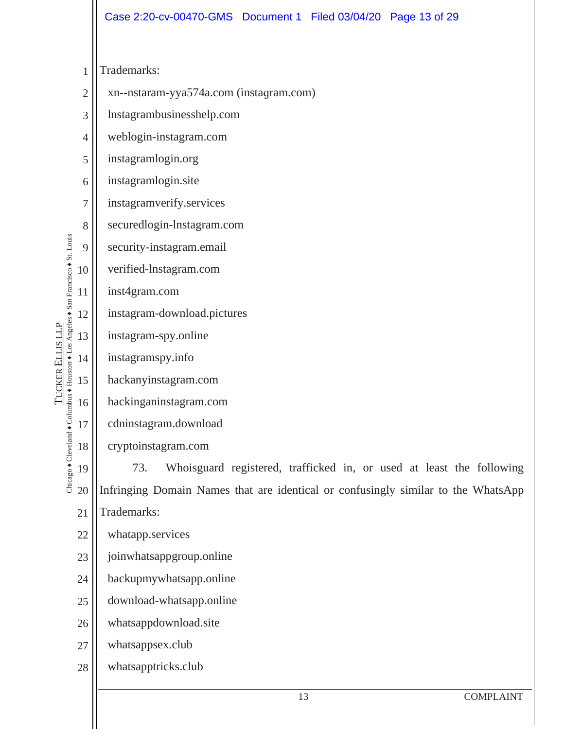|                                                          |                | Case 2:20-cv-00470-GMS  Document 1  Filed 03/04/20  Page 13 of 29                 |  |  |  |
|----------------------------------------------------------|----------------|-----------------------------------------------------------------------------------|--|--|--|
|                                                          |                |                                                                                   |  |  |  |
|                                                          | $\mathbf{1}$   | Trademarks:                                                                       |  |  |  |
|                                                          | $\overline{2}$ | xn--nstaram-yya574a.com (instagram.com)                                           |  |  |  |
|                                                          | 3              | Instagrambusinesshelp.com                                                         |  |  |  |
|                                                          | 4              | weblogin-instagram.com                                                            |  |  |  |
|                                                          | 5              | instagramlogin.org                                                                |  |  |  |
|                                                          | 6              | instagramlogin.site                                                               |  |  |  |
|                                                          | 7              | instagramverify.services                                                          |  |  |  |
|                                                          | 8              | securedlogin-lnstagram.com                                                        |  |  |  |
| nbus ◆ Houston ◆ Los Angeles ◆ San Francisco ◆ St. Louis | 9              | security-instagram.email                                                          |  |  |  |
|                                                          | 10             | verified-lnstagram.com                                                            |  |  |  |
|                                                          | 11             | inst4gram.com                                                                     |  |  |  |
|                                                          | 12             | instagram-download.pictures                                                       |  |  |  |
| TUCKER ELLIS LLP                                         | 13             | instagram-spy.online                                                              |  |  |  |
|                                                          | 14             | instagramspy.info                                                                 |  |  |  |
|                                                          | 15             | hackanyinstagram.com                                                              |  |  |  |
|                                                          | 16             | hackinganinstagram.com                                                            |  |  |  |
|                                                          | 17             | cdninstagram.download                                                             |  |  |  |
| Chicago + Cleveland + Colur                              | 18             | cryptoinstagram.com                                                               |  |  |  |
|                                                          | 19             | Whoisguard registered, trafficked in, or used at least the following<br>73.       |  |  |  |
|                                                          | 20             | Infringing Domain Names that are identical or confusingly similar to the WhatsApp |  |  |  |
|                                                          | 21             | Trademarks:                                                                       |  |  |  |
|                                                          | 22             | whatapp.services                                                                  |  |  |  |
|                                                          | 23             | joinwhatsappgroup.online                                                          |  |  |  |
|                                                          | 24             | backupmywhatsapp.online                                                           |  |  |  |
|                                                          | 25             | download-whatsapp.online                                                          |  |  |  |
|                                                          | 26             | whatsappdownload.site                                                             |  |  |  |
|                                                          | 27             | whatsappsex.club                                                                  |  |  |  |
|                                                          | 28             | whatsapptricks.club                                                               |  |  |  |
|                                                          |                | 13<br><b>COMPLAINT</b>                                                            |  |  |  |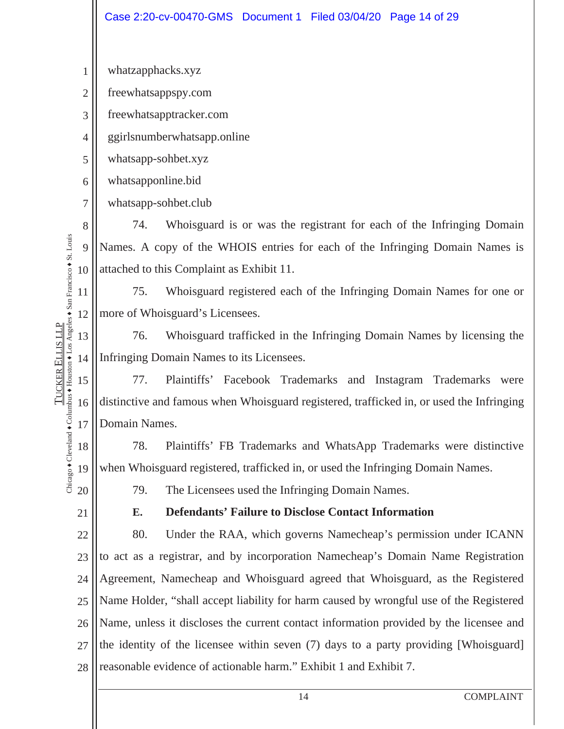|                                                          |                | Case 2:20-cv-00470-GMS  Document 1  Filed 03/04/20  Page 14 of 29                        |  |  |  |
|----------------------------------------------------------|----------------|------------------------------------------------------------------------------------------|--|--|--|
|                                                          |                |                                                                                          |  |  |  |
|                                                          | 1              | whatzapphacks.xyz                                                                        |  |  |  |
|                                                          | $\overline{2}$ | freewhatsappspy.com                                                                      |  |  |  |
|                                                          | 3              | freewhatsapptracker.com                                                                  |  |  |  |
|                                                          | 4              | ggirlsnumberwhatsapp.online                                                              |  |  |  |
|                                                          | 5              | whatsapp-sohbet.xyz                                                                      |  |  |  |
|                                                          | 6              | whatsapponline.bid                                                                       |  |  |  |
|                                                          | 7              | whatsapp-sohbet.club                                                                     |  |  |  |
|                                                          | 8              | 74.<br>Whoisguard is or was the registrant for each of the Infringing Domain             |  |  |  |
| nbus + Houston + Los Angeles + San Francisco + St. Louis | 9              | Names. A copy of the WHOIS entries for each of the Infringing Domain Names is            |  |  |  |
|                                                          | 10             | attached to this Complaint as Exhibit 11.                                                |  |  |  |
|                                                          | 11             | 75.<br>Whoisguard registered each of the Infringing Domain Names for one or              |  |  |  |
|                                                          | 12             | more of Whoisguard's Licensees.                                                          |  |  |  |
| TUCKER ELLIS LLP                                         | 13             | 76.<br>Whoisguard trafficked in the Infringing Domain Names by licensing the             |  |  |  |
|                                                          | 14             | Infringing Domain Names to its Licensees.                                                |  |  |  |
|                                                          | 15             | 77.<br>Plaintiffs'<br>Facebook Trademarks and Instagram Trademarks<br>were               |  |  |  |
|                                                          | 16             | distinctive and famous when Whoisguard registered, trafficked in, or used the Infringing |  |  |  |
| Chicago + Cleveland + Colu                               | 17             | Domain Names.                                                                            |  |  |  |
|                                                          | 18             | Plaintiffs' FB Trademarks and WhatsApp Trademarks were distinctive<br>78.                |  |  |  |
|                                                          | 19             | when Whoisguard registered, trafficked in, or used the Infringing Domain Names.          |  |  |  |
|                                                          | 20             | The Licensees used the Infringing Domain Names.<br>79.                                   |  |  |  |
|                                                          | 21             | <b>Defendants' Failure to Disclose Contact Information</b><br>Е.                         |  |  |  |
|                                                          | 22             | 80.<br>Under the RAA, which governs Namecheap's permission under ICANN                   |  |  |  |
|                                                          | 23             | to act as a registrar, and by incorporation Namecheap's Domain Name Registration         |  |  |  |
|                                                          | 24             | Agreement, Namecheap and Whoisguard agreed that Whoisguard, as the Registered            |  |  |  |
|                                                          | 25             | Name Holder, "shall accept liability for harm caused by wrongful use of the Registered   |  |  |  |
|                                                          | 26             | Name, unless it discloses the current contact information provided by the licensee and   |  |  |  |
|                                                          | 27             | the identity of the licensee within seven (7) days to a party providing [Whoisguard]     |  |  |  |
|                                                          | 28             | reasonable evidence of actionable harm." Exhibit 1 and Exhibit 7.                        |  |  |  |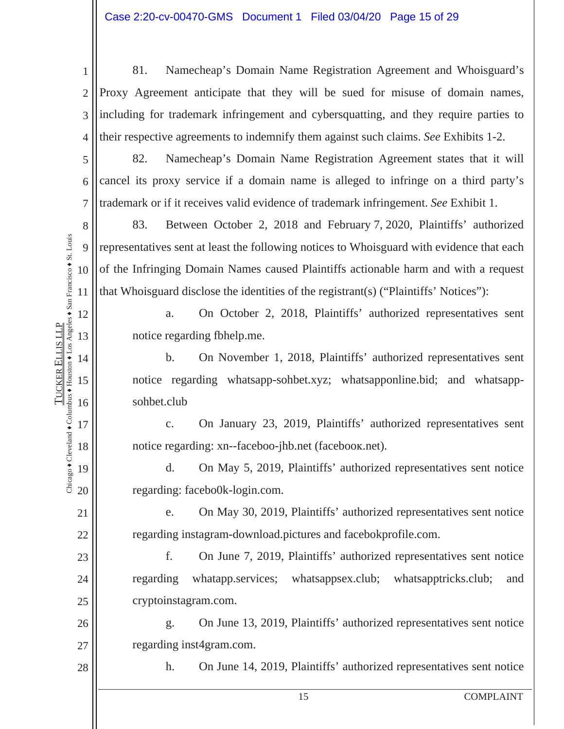1 2 3 4 81. Namecheap's Domain Name Registration Agreement and Whoisguard's Proxy Agreement anticipate that they will be sued for misuse of domain names, including for trademark infringement and cybersquatting, and they require parties to their respective agreements to indemnify them against such claims. *See* Exhibits 1-2.

82. Namecheap's Domain Name Registration Agreement states that it will cancel its proxy service if a domain name is alleged to infringe on a third party's trademark or if it receives valid evidence of trademark infringement. *See* Exhibit 1.

8 9 10 11 83. Between October 2, 2018 and February 7, 2020, Plaintiffs' authorized representatives sent at least the following notices to Whoisguard with evidence that each of the Infringing Domain Names caused Plaintiffs actionable harm and with a request that Whoisguard disclose the identities of the registrant(s) ("Plaintiffs' Notices"):

> a. On October 2, 2018, Plaintiffs' authorized representatives sent notice regarding fbhelp.me.

b. On November 1, 2018, Plaintiffs' authorized representatives sent notice regarding whatsapp-sohbet.xyz; whatsapponline.bid; and whatsappsohbet.club

c. On January 23, 2019, Plaintiffs' authorized representatives sent notice regarding: xn--faceboo-jhb.net (facebook.net).

d. On May 5, 2019, Plaintiffs' authorized representatives sent notice regarding: facebo0k-login.com.

e. On May 30, 2019, Plaintiffs' authorized representatives sent notice regarding instagram-download.pictures and facebokprofile.com.

f. On June 7, 2019, Plaintiffs' authorized representatives sent notice regarding whatapp.services; whatsappsex.club; whatsapptricks.club; and cryptoinstagram.com.

26 27 g. On June 13, 2019, Plaintiffs' authorized representatives sent notice regarding inst4gram.com.

h. On June 14, 2019, Plaintiffs' authorized representatives sent notice

12

13

14

15

16

17

18

19

20

21

22

23

24

25

28

5

6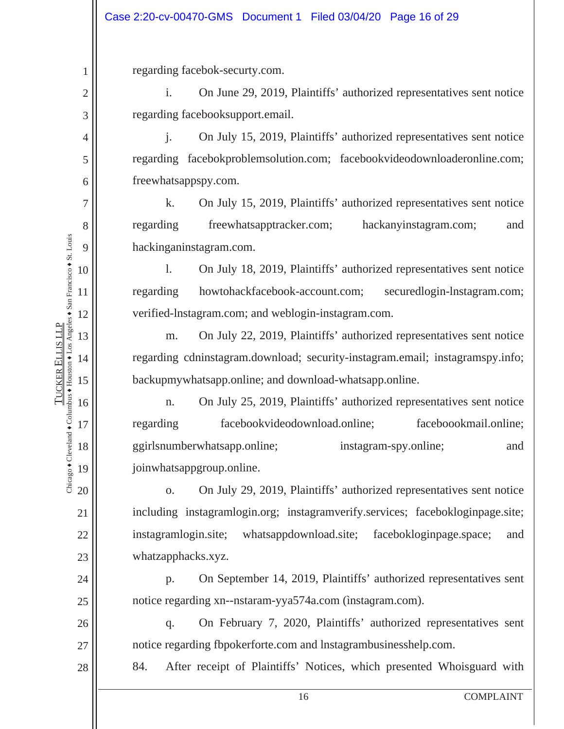regarding facebok-securty.com.

i. On June 29, 2019, Plaintiffs' authorized representatives sent notice regarding facebooksupport.email.

j. On July 15, 2019, Plaintiffs' authorized representatives sent notice regarding facebokproblemsolution.com; facebookvideodownloaderonline.com; freewhatsappspy.com.

k. On July 15, 2019, Plaintiffs' authorized representatives sent notice regarding freewhatsapptracker.com; hackanyinstagram.com; and hackinganinstagram.com.

l. On July 18, 2019, Plaintiffs' authorized representatives sent notice regarding howtohackfacebook-account.com; securedlogin-lnstagram.com; verified-lnstagram.com; and weblogin-instagram.com.

m. On July 22, 2019, Plaintiffs' authorized representatives sent notice regarding cdninstagram.download; security-instagram.email; instagramspy.info; backupmywhatsapp.online; and download-whatsapp.online.

n. On July 25, 2019, Plaintiffs' authorized representatives sent notice regarding facebookvideodownload.online; faceboookmail.online; ggirlsnumberwhatsapp.online; instagram-spy.online; and joinwhatsappgroup.online.

o. On July 29, 2019, Plaintiffs' authorized representatives sent notice including instagramlogin.org; instagramverify.services; facebokloginpage.site; instagramlogin.site; whatsappdownload.site; facebokloginpage.space; and whatzapphacks.xyz.

p. On September 14, 2019, Plaintiffs' authorized representatives sent notice regarding xn--nstaram-yya574a.com (instagram.com).

q. On February 7, 2020, Plaintiffs' authorized representatives sent notice regarding fbpokerforte.com and lnstagrambusinesshelp.com.

84. After receipt of Plaintiffs' Notices, which presented Whoisguard with

28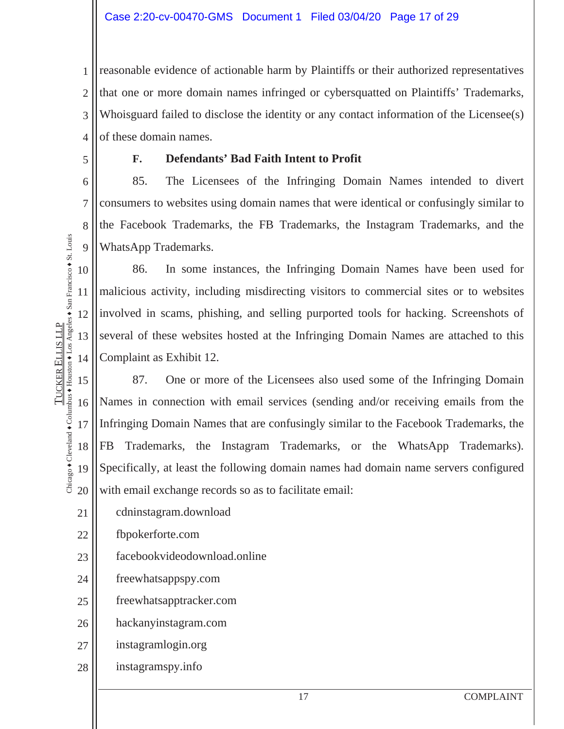1 2 3 4 reasonable evidence of actionable harm by Plaintiffs or their authorized representatives that one or more domain names infringed or cybersquatted on Plaintiffs' Trademarks, Whoisguard failed to disclose the identity or any contact information of the Licensee(s) of these domain names.

5

6

7

8

9

TUCKER

ELLIS LLP

Chicago  $\bullet$  Cleveland  $\bullet$  Columbus  $\bullet$  Houston  $\bullet$  Los Angeles  $\bullet$  San Francisco  $\bullet$  St. Louis

Diicago + Cleveland + Columbus + Houston + Los Angeles + San Francisco + St. Louis **TUCKER ELLIS LLP** 

#### **F. Defendants' Bad Faith Intent to Profit**

85. The Licensees of the Infringing Domain Names intended to divert consumers to websites using domain names that were identical or confusingly similar to the Facebook Trademarks, the FB Trademarks, the Instagram Trademarks, and the WhatsApp Trademarks.

10 11 12 13 14 86. In some instances, the Infringing Domain Names have been used for malicious activity, including misdirecting visitors to commercial sites or to websites involved in scams, phishing, and selling purported tools for hacking. Screenshots of several of these websites hosted at the Infringing Domain Names are attached to this Complaint as Exhibit 12.

15 16 17 18 19 20 87. One or more of the Licensees also used some of the Infringing Domain Names in connection with email services (sending and/or receiving emails from the Infringing Domain Names that are confusingly similar to the Facebook Trademarks, the FB Trademarks, the Instagram Trademarks, or the WhatsApp Trademarks). Specifically, at least the following domain names had domain name servers configured with email exchange records so as to facilitate email:

- 21 cdninstagram.download
- 22 fbpokerforte.com
- 23 facebookvideodownload.online
- 24 freewhatsappspy.com
- 25 freewhatsapptracker.com
- 26 hackanyinstagram.com
- 27 instagramlogin.org
- 28 instagramspy.info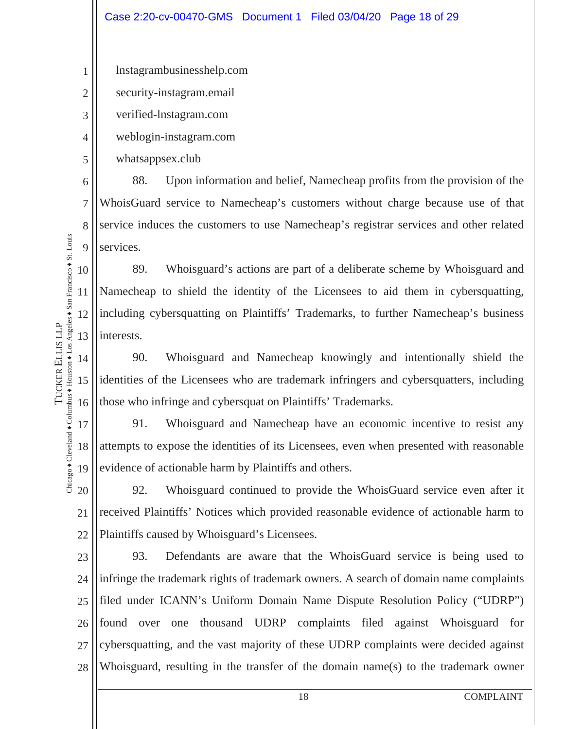1 lnstagrambusinesshelp.com

2 security-instagram.email

verified-lnstagram.com

weblogin-instagram.com

whatsappsex.club

6 7 8 9 88. Upon information and belief, Namecheap profits from the provision of the WhoisGuard service to Namecheap's customers without charge because use of that service induces the customers to use Namecheap's registrar services and other related services.

10 11 12 13 89. Whoisguard's actions are part of a deliberate scheme by Whoisguard and Namecheap to shield the identity of the Licensees to aid them in cybersquatting, including cybersquatting on Plaintiffs' Trademarks, to further Namecheap's business interests.

14 15 16 90. Whoisguard and Namecheap knowingly and intentionally shield the identities of the Licensees who are trademark infringers and cybersquatters, including those who infringe and cybersquat on Plaintiffs' Trademarks.

17 18 19 91. Whoisguard and Namecheap have an economic incentive to resist any attempts to expose the identities of its Licensees, even when presented with reasonable evidence of actionable harm by Plaintiffs and others.

20 21 22 92. Whoisguard continued to provide the WhoisGuard service even after it received Plaintiffs' Notices which provided reasonable evidence of actionable harm to Plaintiffs caused by Whoisguard's Licensees.

23 24 25 26 27 28 93. Defendants are aware that the WhoisGuard service is being used to infringe the trademark rights of trademark owners. A search of domain name complaints filed under ICANN's Uniform Domain Name Dispute Resolution Policy ("UDRP") found over one thousand UDRP complaints filed against Whoisguard for cybersquatting, and the vast majority of these UDRP complaints were decided against Whoisguard, resulting in the transfer of the domain name(s) to the trademark owner

Chicago  $\bullet$  Cleveland  $\bullet$  Columbus  $\bullet$  Houston  $\bullet$  Los Angeles  $\bullet$  San Francisco  $\bullet$  St. Louis Chicago + Cleveland + Columbus + Houston + Los Angeles + San Francisco + St. Louis **TUCKER ELLIS LLP** ELLIS LLP TUCKER

3

4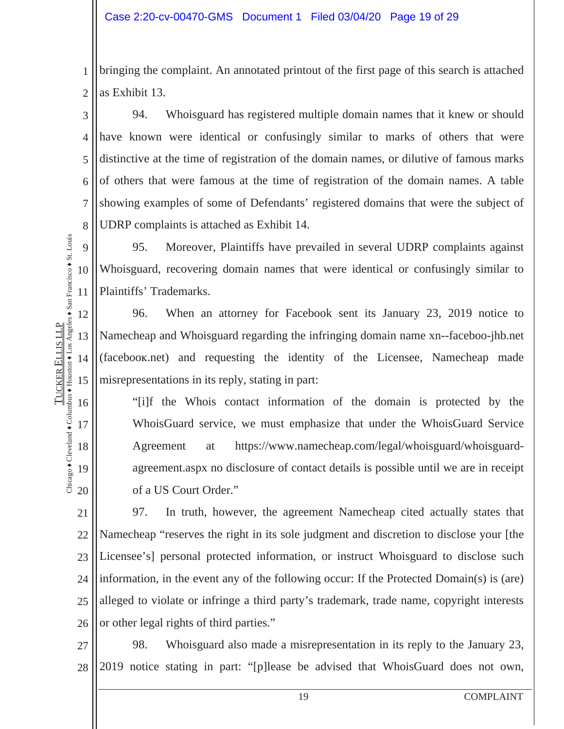1 2 bringing the complaint. An annotated printout of the first page of this search is attached as Exhibit 13.

3 4 5 6 7 8 94. Whoisguard has registered multiple domain names that it knew or should have known were identical or confusingly similar to marks of others that were distinctive at the time of registration of the domain names, or dilutive of famous marks of others that were famous at the time of registration of the domain names. A table showing examples of some of Defendants' registered domains that were the subject of UDRP complaints is attached as Exhibit 14.

9 10 11 95. Moreover, Plaintiffs have prevailed in several UDRP complaints against Whoisguard, recovering domain names that were identical or confusingly similar to Plaintiffs' Trademarks.

96. When an attorney for Facebook sent its January 23, 2019 notice to Namecheap and Whoisguard regarding the infringing domain name xn--faceboo-jhb.net (facebooƸ.net) and requesting the identity of the Licensee, Namecheap made misrepresentations in its reply, stating in part:

"[i]f the Whois contact information of the domain is protected by the WhoisGuard service, we must emphasize that under the WhoisGuard Service Agreement at https://www.namecheap.com/legal/whoisguard/whoisguardagreement.aspx no disclosure of contact details is possible until we are in receipt of a US Court Order."

21 22 23 24 25 26 97. In truth, however, the agreement Namecheap cited actually states that Namecheap "reserves the right in its sole judgment and discretion to disclose your [the Licensee's] personal protected information, or instruct Whoisguard to disclose such information, in the event any of the following occur: If the Protected Domain(s) is (are) alleged to violate or infringe a third party's trademark, trade name, copyright interests or other legal rights of third parties."

27 28 98. Whoisguard also made a misrepresentation in its reply to the January 23, 2019 notice stating in part: "[p]lease be advised that WhoisGuard does not own,

Chicago  $\bullet$  Cleveland  $\bullet$  Columbus  $\bullet$  Houston  $\bullet$  Los Angeles  $\bullet$  San Francisco  $\bullet$  St. Louis Chicago + Cleveland + Columbus + Houston + Los Angeles + San Francisco + St. Louis **TUCKER ELLIS LLP** ELLIS LLP TUCKER

12

13

14

15

16

17

18

19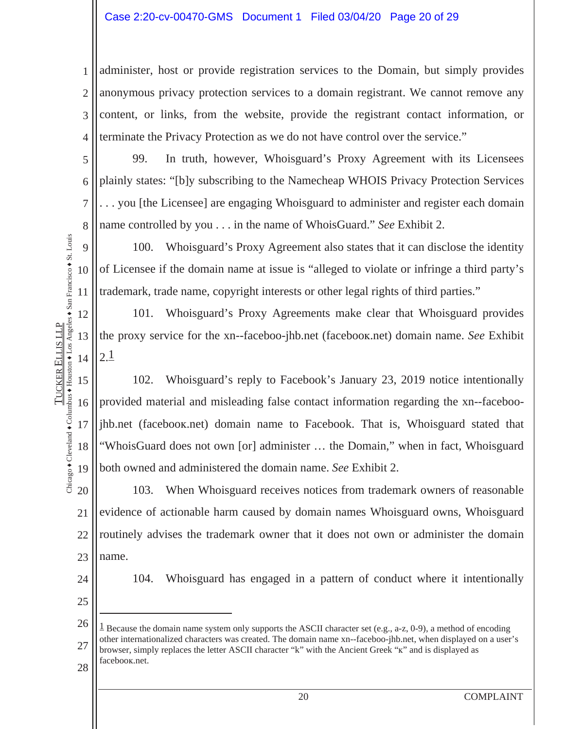#### Case 2:20-cv-00470-GMS Document 1 Filed 03/04/20 Page 20 of 29

1 2 3 4 administer, host or provide registration services to the Domain, but simply provides anonymous privacy protection services to a domain registrant. We cannot remove any content, or links, from the website, provide the registrant contact information, or terminate the Privacy Protection as we do not have control over the service."

99. In truth, however, Whoisguard's Proxy Agreement with its Licensees plainly states: "[b]y subscribing to the Namecheap WHOIS Privacy Protection Services . . . you [the Licensee] are engaging Whoisguard to administer and register each domain name controlled by you . . . in the name of WhoisGuard." *See* Exhibit 2.

9 10 11 100. Whoisguard's Proxy Agreement also states that it can disclose the identity of Licensee if the domain name at issue is "alleged to violate or infringe a third party's trademark, trade name, copyright interests or other legal rights of third parties."

101. Whoisguard's Proxy Agreements make clear that Whoisguard provides the proxy service for the xn--faceboo-jhb.net (facebooƸ.net) domain name. *See* Exhibit  $2.1$ 

15 16 17 18 19 102. Whoisguard's reply to Facebook's January 23, 2019 notice intentionally provided material and misleading false contact information regarding the xn--faceboojhb.net (facebooƸ.net) domain name to Facebook. That is, Whoisguard stated that "WhoisGuard does not own [or] administer … the Domain," when in fact, Whoisguard both owned and administered the domain name. *See* Exhibit 2.

20 21 22 23 103. When Whoisguard receives notices from trademark owners of reasonable evidence of actionable harm caused by domain names Whoisguard owns, Whoisguard routinely advises the trademark owner that it does not own or administer the domain name.

24

5

6

7

8

12

13

14

Chicago  $\bullet$  Cleveland  $\bullet$  Columbus  $\bullet$  Houston  $\bullet$  Los Angeles  $\bullet$  San Francisco  $\bullet$  St. Louis

Chicago + Cleveland + Columbus + Houston + Los Angeles + San Francisco + St. Louis **TUCKER ELLIS LLP** 

TUCKER

ELLIS LLP

104. Whoisguard has engaged in a pattern of conduct where it intentionally

25

 $\overline{a}$ 

26 27 28 <sup>1</sup> Because the domain name system only supports the ASCII character set (e.g., a-z, 0-9), a method of encoding other internationalized characters was created. The domain name xn--faceboo-jhb.net, when displayed on a user's browser, simply replaces the letter ASCII character "k" with the Ancient Greek "k" and is displayed as facebooƸ.net.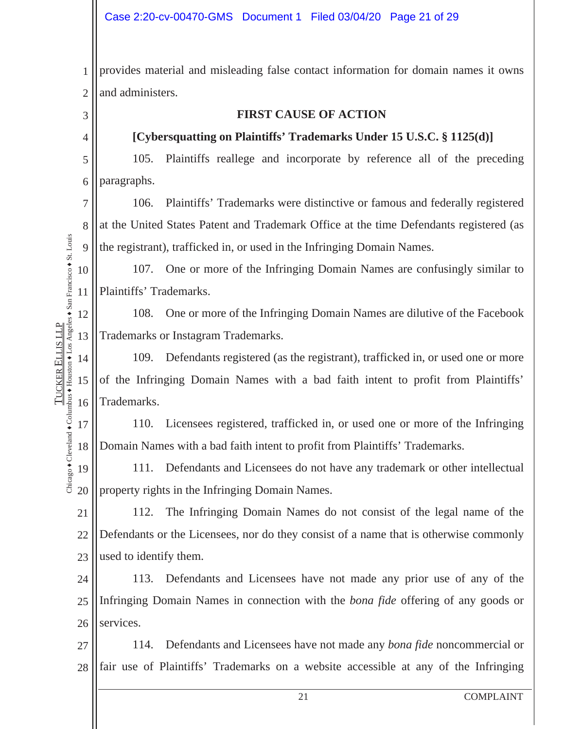1 2 provides material and misleading false contact information for domain names it owns and administers.

3 4

5

6

TUCKER

ELLIS LLP

**TUCKER ELLIS LLP** 

#### **FIRST CAUSE OF ACTION**

#### **[Cybersquatting on Plaintiffs' Trademarks Under 15 U.S.C. § 1125(d)]**

105. Plaintiffs reallege and incorporate by reference all of the preceding paragraphs.

7 8 9 106. Plaintiffs' Trademarks were distinctive or famous and federally registered at the United States Patent and Trademark Office at the time Defendants registered (as the registrant), trafficked in, or used in the Infringing Domain Names.

10 11 107. One or more of the Infringing Domain Names are confusingly similar to Plaintiffs' Trademarks.

12 13 108. One or more of the Infringing Domain Names are dilutive of the Facebook Trademarks or Instagram Trademarks.

14 15 16 109. Defendants registered (as the registrant), trafficked in, or used one or more of the Infringing Domain Names with a bad faith intent to profit from Plaintiffs' Trademarks.

17 18 110. Licensees registered, trafficked in, or used one or more of the Infringing Domain Names with a bad faith intent to profit from Plaintiffs' Trademarks.

Chicago  $\bullet$  Cleveland  $\bullet$  Columbus  $\bullet$  Houston  $\bullet$  Los Angeles  $\bullet$  San Francisco  $\bullet$  St. Louis Diicago + Cleveland + Columbus + Houston + Los Angeles + San Francisco + St. Louis 19 111. Defendants and Licensees do not have any trademark or other intellectual property rights in the Infringing Domain Names. 20

21 22 23 112. The Infringing Domain Names do not consist of the legal name of the Defendants or the Licensees, nor do they consist of a name that is otherwise commonly used to identify them.

24 25 26 113. Defendants and Licensees have not made any prior use of any of the Infringing Domain Names in connection with the *bona fide* offering of any goods or services.

27 28 114. Defendants and Licensees have not made any *bona fide* noncommercial or fair use of Plaintiffs' Trademarks on a website accessible at any of the Infringing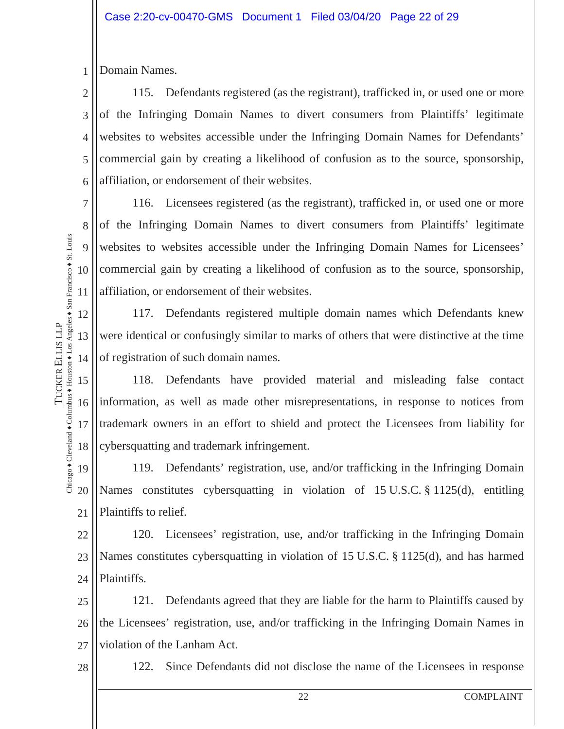1 Domain Names.

2 3 4 5 6 115. Defendants registered (as the registrant), trafficked in, or used one or more of the Infringing Domain Names to divert consumers from Plaintiffs' legitimate websites to websites accessible under the Infringing Domain Names for Defendants' commercial gain by creating a likelihood of confusion as to the source, sponsorship, affiliation, or endorsement of their websites.

7 8 9 10 11 116. Licensees registered (as the registrant), trafficked in, or used one or more of the Infringing Domain Names to divert consumers from Plaintiffs' legitimate websites to websites accessible under the Infringing Domain Names for Licensees' commercial gain by creating a likelihood of confusion as to the source, sponsorship, affiliation, or endorsement of their websites.

12 13 14 117. Defendants registered multiple domain names which Defendants knew were identical or confusingly similar to marks of others that were distinctive at the time of registration of such domain names.

15 16 17 18 118. Defendants have provided material and misleading false contact information, as well as made other misrepresentations, in response to notices from trademark owners in an effort to shield and protect the Licensees from liability for cybersquatting and trademark infringement.

19 20 21 119. Defendants' registration, use, and/or trafficking in the Infringing Domain Names constitutes cybersquatting in violation of 15 U.S.C. § 1125(d), entitling Plaintiffs to relief.

22 23 24 120. Licensees' registration, use, and/or trafficking in the Infringing Domain Names constitutes cybersquatting in violation of 15 U.S.C. § 1125(d), and has harmed Plaintiffs.

25 26 27 121. Defendants agreed that they are liable for the harm to Plaintiffs caused by the Licensees' registration, use, and/or trafficking in the Infringing Domain Names in violation of the Lanham Act.

122. Since Defendants did not disclose the name of the Licensees in response

Chicago  $\bullet$  Cleveland  $\bullet$  Columbus  $\bullet$  Houston  $\bullet$  Los Angeles  $\bullet$  San Francisco  $\bullet$  St. Louis Diicago + Cleveland + Columbus + Houston + Los Angeles + San Francisco + St. Louis **TUCKER ELLIS LLP** ELLIS LLP TUCKER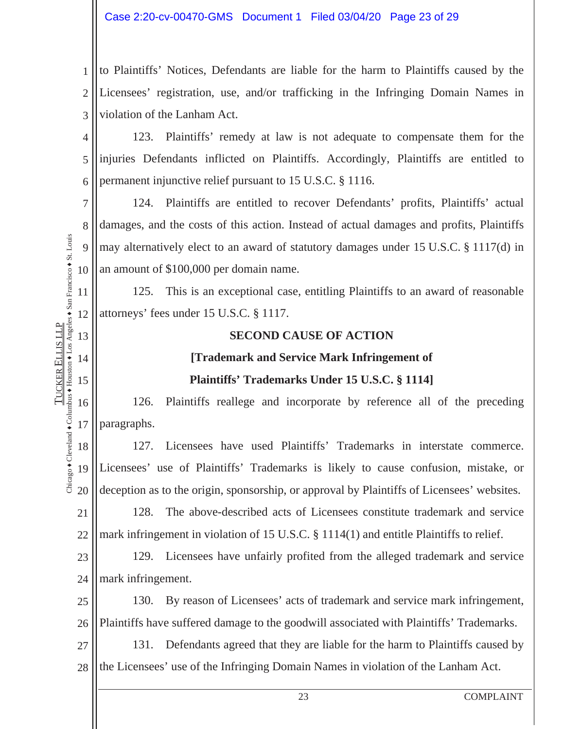1 2 3 to Plaintiffs' Notices, Defendants are liable for the harm to Plaintiffs caused by the Licensees' registration, use, and/or trafficking in the Infringing Domain Names in violation of the Lanham Act.

4 5 6 123. Plaintiffs' remedy at law is not adequate to compensate them for the injuries Defendants inflicted on Plaintiffs. Accordingly, Plaintiffs are entitled to permanent injunctive relief pursuant to 15 U.S.C. § 1116.

7 8 9 10 124. Plaintiffs are entitled to recover Defendants' profits, Plaintiffs' actual damages, and the costs of this action. Instead of actual damages and profits, Plaintiffs may alternatively elect to an award of statutory damages under 15 U.S.C. § 1117(d) in an amount of \$100,000 per domain name.

11 12 125. This is an exceptional case, entitling Plaintiffs to an award of reasonable attorneys' fees under 15 U.S.C. § 1117.

13

14

Chicago  $\bullet$  Cleveland  $\bullet$  Columbus  $\bullet$  Houston  $\bullet$  Los Angeles  $\bullet$  San Francisco  $\bullet$  St. Louis

Chicago + Cleveland + Columbus + Houston + Los Angeles + San Francisco + St. Louis **TUCKER ELLIS LLP** 

15

TUCKER

ELLIS LLP

#### **SECOND CAUSE OF ACTION**

### **[Trademark and Service Mark Infringement of Plaintiffs' Trademarks Under 15 U.S.C. § 1114]**

16 17 126. Plaintiffs reallege and incorporate by reference all of the preceding paragraphs.

18 19 20 127. Licensees have used Plaintiffs' Trademarks in interstate commerce. Licensees' use of Plaintiffs' Trademarks is likely to cause confusion, mistake, or deception as to the origin, sponsorship, or approval by Plaintiffs of Licensees' websites.

21 22 128. The above-described acts of Licensees constitute trademark and service mark infringement in violation of 15 U.S.C. § 1114(1) and entitle Plaintiffs to relief.

23 24 129. Licensees have unfairly profited from the alleged trademark and service mark infringement.

25 26 130. By reason of Licensees' acts of trademark and service mark infringement, Plaintiffs have suffered damage to the goodwill associated with Plaintiffs' Trademarks.

27 28 131. Defendants agreed that they are liable for the harm to Plaintiffs caused by the Licensees' use of the Infringing Domain Names in violation of the Lanham Act.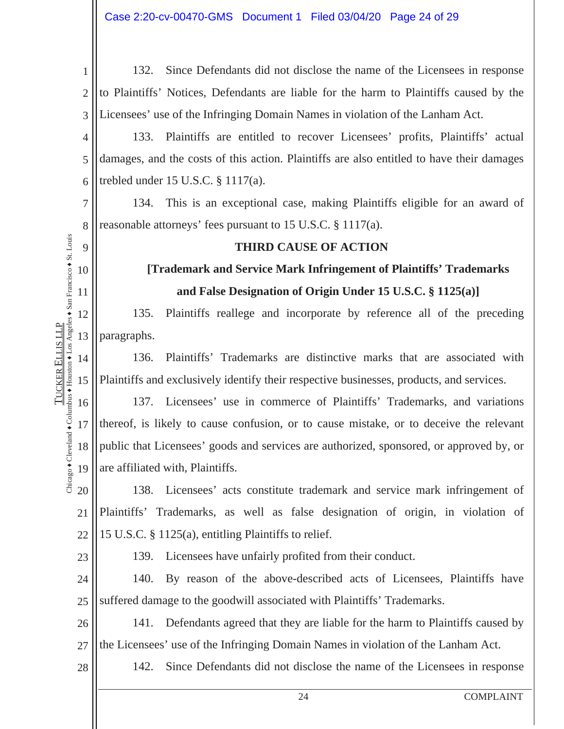1 2 3 132. Since Defendants did not disclose the name of the Licensees in response to Plaintiffs' Notices, Defendants are liable for the harm to Plaintiffs caused by the Licensees' use of the Infringing Domain Names in violation of the Lanham Act.

4 5 6 133. Plaintiffs are entitled to recover Licensees' profits, Plaintiffs' actual damages, and the costs of this action. Plaintiffs are also entitled to have their damages trebled under 15 U.S.C. § 1117(a).

134. This is an exceptional case, making Plaintiffs eligible for an award of reasonable attorneys' fees pursuant to 15 U.S.C. § 1117(a).

#### **THIRD CAUSE OF ACTION**

### **[Trademark and Service Mark Infringement of Plaintiffs' Trademarks and False Designation of Origin Under 15 U.S.C. § 1125(a)]**

135. Plaintiffs reallege and incorporate by reference all of the preceding paragraphs.

14 15 136. Plaintiffs' Trademarks are distinctive marks that are associated with Plaintiffs and exclusively identify their respective businesses, products, and services.

16 17 18 19 137. Licensees' use in commerce of Plaintiffs' Trademarks, and variations thereof, is likely to cause confusion, or to cause mistake, or to deceive the relevant public that Licensees' goods and services are authorized, sponsored, or approved by, or are affiliated with, Plaintiffs.

20 21 22 138. Licensees' acts constitute trademark and service mark infringement of Plaintiffs' Trademarks, as well as false designation of origin, in violation of 15 U.S.C. § 1125(a), entitling Plaintiffs to relief.

23

28

139. Licensees have unfairly profited from their conduct.

24 25 140. By reason of the above-described acts of Licensees, Plaintiffs have suffered damage to the goodwill associated with Plaintiffs' Trademarks.

26 27 141. Defendants agreed that they are liable for the harm to Plaintiffs caused by the Licensees' use of the Infringing Domain Names in violation of the Lanham Act.

#### 142. Since Defendants did not disclose the name of the Licensees in response

7

8

9

10

11

12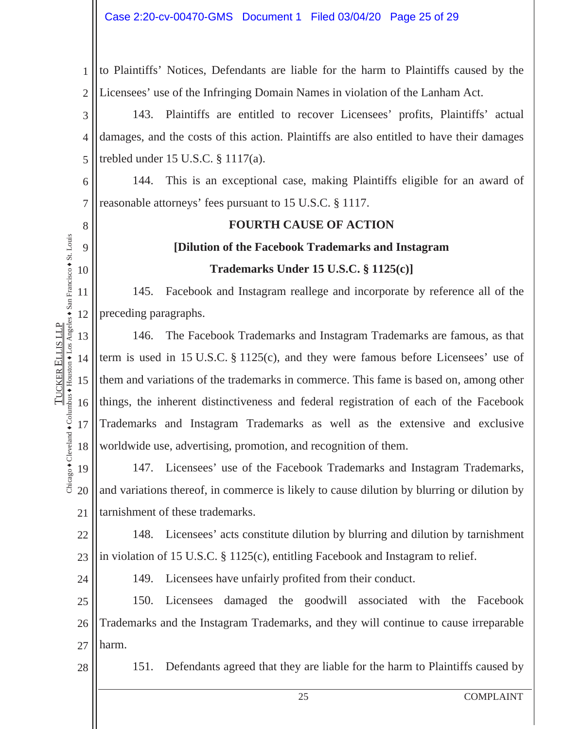1 2 to Plaintiffs' Notices, Defendants are liable for the harm to Plaintiffs caused by the Licensees' use of the Infringing Domain Names in violation of the Lanham Act.

3 4 5 143. Plaintiffs are entitled to recover Licensees' profits, Plaintiffs' actual damages, and the costs of this action. Plaintiffs are also entitled to have their damages trebled under 15 U.S.C. § 1117(a).

6 7 144. This is an exceptional case, making Plaintiffs eligible for an award of reasonable attorneys' fees pursuant to 15 U.S.C. § 1117.

# **FOURTH CAUSE OF ACTION**

# **[Dilution of the Facebook Trademarks and Instagram**

**Trademarks Under 15 U.S.C. § 1125(c)]** 

11 12 145. Facebook and Instagram reallege and incorporate by reference all of the preceding paragraphs.

13 14 15 16 17 18 146. The Facebook Trademarks and Instagram Trademarks are famous, as that term is used in 15 U.S.C. § 1125(c), and they were famous before Licensees' use of them and variations of the trademarks in commerce. This fame is based on, among other things, the inherent distinctiveness and federal registration of each of the Facebook Trademarks and Instagram Trademarks as well as the extensive and exclusive worldwide use, advertising, promotion, and recognition of them.

19 20 21 147. Licensees' use of the Facebook Trademarks and Instagram Trademarks, and variations thereof, in commerce is likely to cause dilution by blurring or dilution by tarnishment of these trademarks.

22 23 148. Licensees' acts constitute dilution by blurring and dilution by tarnishment in violation of 15 U.S.C. § 1125(c), entitling Facebook and Instagram to relief.

24

8

9

10

TUCKER

ELLIS LLP

Chicago  $\bullet$  Cleveland  $\bullet$  Columbus  $\bullet$  Houston  $\bullet$  Los Angeles  $\bullet$  San Francisco  $\bullet$  St. Louis

Chicago + Cleveland + Columbus + Houston + Los Angeles + San Francisco + St. Louis **TUCKER ELLIS LLP** 

149. Licensees have unfairly profited from their conduct.

25 26 27 150. Licensees damaged the goodwill associated with the Facebook Trademarks and the Instagram Trademarks, and they will continue to cause irreparable harm.

28

151. Defendants agreed that they are liable for the harm to Plaintiffs caused by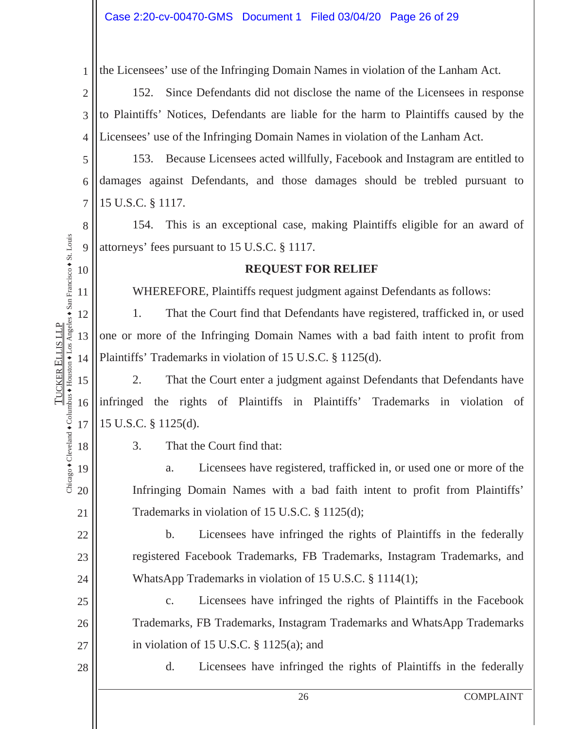1 the Licensees' use of the Infringing Domain Names in violation of the Lanham Act.

2 3 4 152. Since Defendants did not disclose the name of the Licensees in response to Plaintiffs' Notices, Defendants are liable for the harm to Plaintiffs caused by the Licensees' use of the Infringing Domain Names in violation of the Lanham Act.

5 6 7 153. Because Licensees acted willfully, Facebook and Instagram are entitled to damages against Defendants, and those damages should be trebled pursuant to 15 U.S.C. § 1117.

8 9 154. This is an exceptional case, making Plaintiffs eligible for an award of attorneys' fees pursuant to 15 U.S.C. § 1117.

#### **REQUEST FOR RELIEF**

WHEREFORE, Plaintiffs request judgment against Defendants as follows:

1. That the Court find that Defendants have registered, trafficked in, or used one or more of the Infringing Domain Names with a bad faith intent to profit from Plaintiffs' Trademarks in violation of 15 U.S.C. § 1125(d).

15 16 17 2. That the Court enter a judgment against Defendants that Defendants have infringed the rights of Plaintiffs in Plaintiffs' Trademarks in violation of 15 U.S.C. § 1125(d).

Chicago  $\bullet$  Cleveland  $\bullet$  Columbus  $\bullet$  Houston  $\bullet$  Los Angeles  $\bullet$  San Francisco  $\bullet$  St. Louis Chicago + Cleveland + Columbus + Houston + Los Angeles + San Francisco + St. Louis 18

19

20

21

22

23

24

25

26

27

28

10

11

12

13

14

TUCKER

ELLIS LLP

**TUCKER ELLIS LLP** 

3. That the Court find that:

a. Licensees have registered, trafficked in, or used one or more of the Infringing Domain Names with a bad faith intent to profit from Plaintiffs' Trademarks in violation of 15 U.S.C. § 1125(d);

b. Licensees have infringed the rights of Plaintiffs in the federally registered Facebook Trademarks, FB Trademarks, Instagram Trademarks, and WhatsApp Trademarks in violation of 15 U.S.C. § 1114(1);

c. Licensees have infringed the rights of Plaintiffs in the Facebook Trademarks, FB Trademarks, Instagram Trademarks and WhatsApp Trademarks in violation of 15 U.S.C. § 1125(a); and

d. Licensees have infringed the rights of Plaintiffs in the federally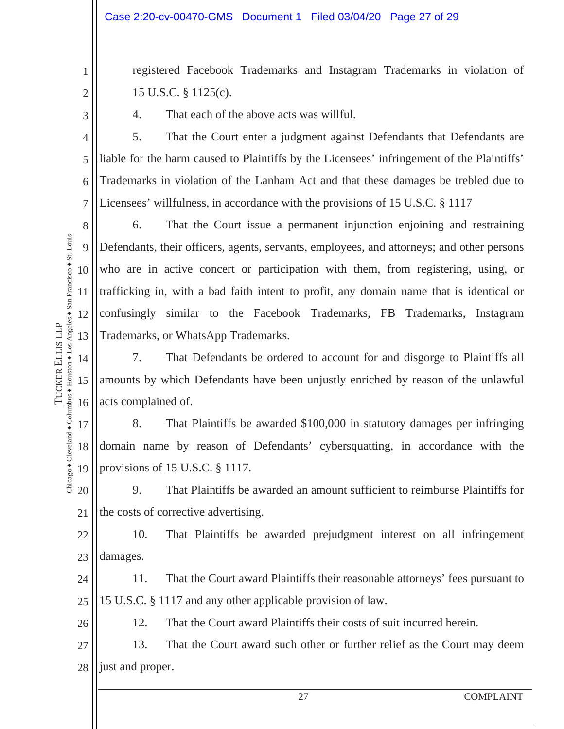registered Facebook Trademarks and Instagram Trademarks in violation of 15 U.S.C. § 1125(c).

3

4

5

6

7

TUCKER

ELLIS LLP

Chicago  $\bullet$  Cleveland  $\bullet$  Columbus  $\bullet$  Houston  $\bullet$  Los Angeles  $\bullet$  San Francisco  $\bullet$  St. Louis

Chicago + Cleveland + Columbus + Houston + Los Angeles + San Francisco + St. Louis **TUCKER ELLIS LLP** 

1

2

4. That each of the above acts was willful.

5. That the Court enter a judgment against Defendants that Defendants are liable for the harm caused to Plaintiffs by the Licensees' infringement of the Plaintiffs' Trademarks in violation of the Lanham Act and that these damages be trebled due to Licensees' willfulness, in accordance with the provisions of 15 U.S.C. § 1117

8 9 10 11 12 13 6. That the Court issue a permanent injunction enjoining and restraining Defendants, their officers, agents, servants, employees, and attorneys; and other persons who are in active concert or participation with them, from registering, using, or trafficking in, with a bad faith intent to profit, any domain name that is identical or confusingly similar to the Facebook Trademarks, FB Trademarks, Instagram Trademarks, or WhatsApp Trademarks.

14 15 16 7. That Defendants be ordered to account for and disgorge to Plaintiffs all amounts by which Defendants have been unjustly enriched by reason of the unlawful acts complained of.

17 18 19 8. That Plaintiffs be awarded \$100,000 in statutory damages per infringing domain name by reason of Defendants' cybersquatting, in accordance with the provisions of 15 U.S.C. § 1117.

20 21 9. That Plaintiffs be awarded an amount sufficient to reimburse Plaintiffs for the costs of corrective advertising.

22 23 10. That Plaintiffs be awarded prejudgment interest on all infringement damages.

24 25 11. That the Court award Plaintiffs their reasonable attorneys' fees pursuant to 15 U.S.C. § 1117 and any other applicable provision of law.

26

12. That the Court award Plaintiffs their costs of suit incurred herein.

27 28 13. That the Court award such other or further relief as the Court may deem just and proper.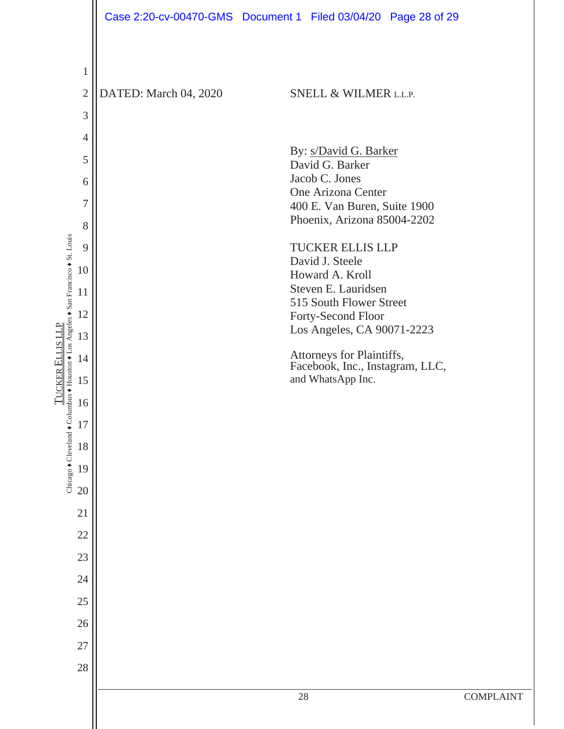|                                                                               |                                |                       | Case 2:20-cv-00470-GMS  Document 1  Filed 03/04/20  Page 28 of 29 |                  |
|-------------------------------------------------------------------------------|--------------------------------|-----------------------|-------------------------------------------------------------------|------------------|
|                                                                               |                                |                       |                                                                   |                  |
|                                                                               | $\mathbf{1}$<br>$\overline{2}$ | DATED: March 04, 2020 | <b>SNELL &amp; WILMER L.L.P.</b>                                  |                  |
|                                                                               | 3                              |                       |                                                                   |                  |
|                                                                               | $\overline{4}$                 |                       |                                                                   |                  |
|                                                                               | 5                              |                       | By: s/David G. Barker                                             |                  |
|                                                                               | 6                              |                       | David G. Barker<br>Jacob C. Jones                                 |                  |
|                                                                               | $\overline{7}$                 |                       | One Arizona Center<br>400 E. Van Buren, Suite 1900                |                  |
|                                                                               | 8                              |                       | Phoenix, Arizona 85004-2202                                       |                  |
|                                                                               | 9                              |                       | <b>TUCKER ELLIS LLP</b>                                           |                  |
|                                                                               | 10                             |                       | David J. Steele<br>Howard A. Kroll                                |                  |
|                                                                               | 11                             |                       | Steven E. Lauridsen<br>515 South Flower Street                    |                  |
|                                                                               | 12                             |                       | Forty-Second Floor                                                |                  |
| umbus + Houston + Los Angeles + San Francisco + St. Louis<br>TUCKER ELLIS LLP | 13                             |                       | Los Angeles, CA 90071-2223                                        |                  |
|                                                                               | 14                             |                       | Attorneys for Plaintiffs,<br>Facebook, Inc., Instagram, LLC,      |                  |
|                                                                               | 15                             |                       | and WhatsApp Inc.                                                 |                  |
|                                                                               | 16                             |                       |                                                                   |                  |
|                                                                               | 17                             |                       |                                                                   |                  |
|                                                                               | 18                             |                       |                                                                   |                  |
| Chicago + Cleveland + Col                                                     | 19                             |                       |                                                                   |                  |
|                                                                               | 20<br>21                       |                       |                                                                   |                  |
|                                                                               | 22                             |                       |                                                                   |                  |
|                                                                               | 23                             |                       |                                                                   |                  |
|                                                                               | 24                             |                       |                                                                   |                  |
|                                                                               | 25                             |                       |                                                                   |                  |
|                                                                               | 26                             |                       |                                                                   |                  |
|                                                                               | 27                             |                       |                                                                   |                  |
|                                                                               | 28                             |                       |                                                                   |                  |
|                                                                               |                                |                       | 28                                                                | <b>COMPLAINT</b> |
|                                                                               |                                |                       |                                                                   |                  |